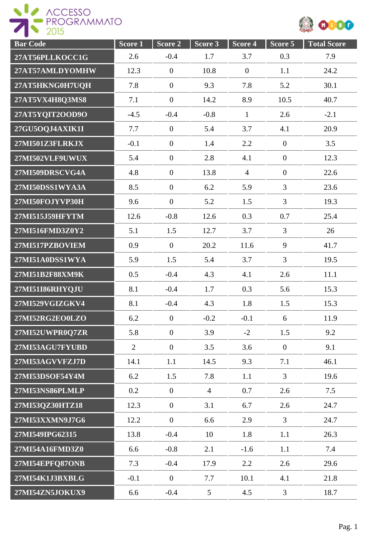



| <b>Bar Code</b> | Score 1        | Score 2          | Score 3        | Score 4        | Score 5        | <b>Total Score</b> |
|-----------------|----------------|------------------|----------------|----------------|----------------|--------------------|
| 27AT56PLLKOCC1G | 2.6            | $-0.4$           | 1.7            | 3.7            | 0.3            | 7.9                |
| 27AT57AMLDYOMHW | 12.3           | $\boldsymbol{0}$ | 10.8           | $\mathbf{0}$   | 1.1            | 24.2               |
| 27AT5HKNG0H7UQH | 7.8            | $\boldsymbol{0}$ | 9.3            | 7.8            | 5.2            | 30.1               |
| 27AT5VX4H8Q3MS8 | 7.1            | $\boldsymbol{0}$ | 14.2           | 8.9            | 10.5           | 40.7               |
| 27AT5YQIT2OOD9O | $-4.5$         | $-0.4$           | $-0.8$         | $\mathbf{1}$   | 2.6            | $-2.1$             |
| 27GU5OQJ4AXIK1I | 7.7            | $\overline{0}$   | 5.4            | 3.7            | 4.1            | 20.9               |
| 27MI501Z3FLRKJX | $-0.1$         | $\overline{0}$   | 1.4            | 2.2            | $\mathbf{0}$   | 3.5                |
| 27MI502VLF9UWUX | 5.4            | $\overline{0}$   | 2.8            | 4.1            | $\mathbf{0}$   | 12.3               |
| 27MI509DRSCVG4A | 4.8            | $\boldsymbol{0}$ | 13.8           | $\overline{4}$ | $\mathbf{0}$   | 22.6               |
| 27MI50DSS1WYA3A | 8.5            | $\overline{0}$   | 6.2            | 5.9            | $\overline{3}$ | 23.6               |
| 27MI50FOJYVP30H | 9.6            | $\overline{0}$   | 5.2            | 1.5            | $\overline{3}$ | 19.3               |
| 27MI515J59HFYTM | 12.6           | $-0.8$           | 12.6           | 0.3            | 0.7            | 25.4               |
| 27MI516FMD3Z0Y2 | 5.1            | 1.5              | 12.7           | 3.7            | $\overline{3}$ | 26                 |
| 27MI517PZBOVIEM | 0.9            | $\boldsymbol{0}$ | 20.2           | 11.6           | 9              | 41.7               |
| 27MI51A0DSS1WYA | 5.9            | 1.5              | 5.4            | 3.7            | $\overline{3}$ | 19.5               |
| 27MI51B2F88XM9K | 0.5            | $-0.4$           | 4.3            | 4.1            | 2.6            | 11.1               |
| 27MI51I86RHYQJU | 8.1            | $-0.4$           | 1.7            | 0.3            | 5.6            | 15.3               |
| 27MI529VGIZGKV4 | 8.1            | $-0.4$           | 4.3            | 1.8            | 1.5            | 15.3               |
| 27MI52RG2EO0LZO | 6.2            | $\boldsymbol{0}$ | $-0.2$         | $-0.1$         | 6              | 11.9               |
| 27MI52UWPR0Q7ZR | 5.8            | $\overline{0}$   | 3.9            | $-2$           | 1.5            | 9.2                |
| 27MI53AGU7FYUBD | $\overline{2}$ | $\mathbf{0}$     | 3.5            | 3.6            | $\overline{0}$ | 9.1                |
| 27MI53AGVVFZJ7D | 14.1           | 1.1              | 14.5           | 9.3            | 7.1            | 46.1               |
| 27MI53DSOF54Y4M | 6.2            | 1.5              | 7.8            | 1.1            | $\overline{3}$ | 19.6               |
| 27MI53NS86PLMLP | 0.2            | $\mathbf{0}$     | $\overline{4}$ | 0.7            | 2.6            | 7.5                |
| 27MI53QZ30HTZ18 | 12.3           | $\mathbf{0}$     | 3.1            | 6.7            | 2.6            | 24.7               |
| 27MI53XXMN9J7G6 | 12.2           | $\mathbf{0}$     | 6.6            | 2.9            | $\overline{3}$ | 24.7               |
| 27MI549IPG62315 | 13.8           | $-0.4$           | 10             | 1.8            | 1.1            | 26.3               |
| 27MI54A16FMD3Z0 | 6.6            | $-0.8$           | 2.1            | $-1.6$         | 1.1            | 7.4                |
| 27MI54EPFQ87ONB | 7.3            | $-0.4$           | 17.9           | 2.2            | 2.6            | 29.6               |
| 27MI54K1J3BXBLG | $-0.1$         | $\boldsymbol{0}$ | 7.7            | 10.1           | 4.1            | 21.8               |
| 27MI54ZN5JOKUX9 | 6.6            | $-0.4$           | $\mathfrak{S}$ | 4.5            | $\mathfrak{Z}$ | 18.7               |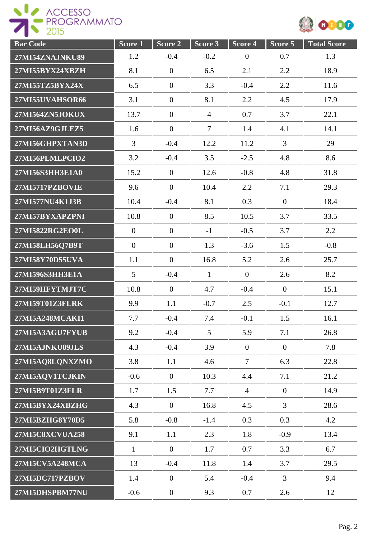



| <b>Bar Code</b>        | Score <sub>1</sub> | Score <sub>2</sub> | Score 3        | Score <sub>4</sub> | Score 5        | <b>Total Score</b> |
|------------------------|--------------------|--------------------|----------------|--------------------|----------------|--------------------|
| 27MI54ZNAJNKU89        | 1.2                | $-0.4$             | $-0.2$         | $\overline{0}$     | 0.7            | 1.3                |
| 27MI55BYX24XBZH        | 8.1                | $\mathbf{0}$       | 6.5            | 2.1                | 2.2            | 18.9               |
| 27MI55TZ5BYX24X        | 6.5                | $\boldsymbol{0}$   | 3.3            | $-0.4$             | 2.2            | 11.6               |
| 27MI55UVAHSOR66        | 3.1                | $\boldsymbol{0}$   | 8.1            | 2.2                | 4.5            | 17.9               |
| 27MI564ZN5JOKUX        | 13.7               | $\boldsymbol{0}$   | $\overline{4}$ | 0.7                | 3.7            | 22.1               |
| 27MI56AZ9GJLEZ5        | 1.6                | $\boldsymbol{0}$   | $\overline{7}$ | 1.4                | 4.1            | 14.1               |
| 27MI56GHPXTAN3D        | 3                  | $-0.4$             | 12.2           | 11.2               | 3              | 29                 |
| 27MI56PLMLPCIO2        | 3.2                | $-0.4$             | 3.5            | $-2.5$             | 4.8            | 8.6                |
| 27MI56S3HH3E1A0        | 15.2               | $\overline{0}$     | 12.6           | $-0.8$             | 4.8            | 31.8               |
| <b>27MI5717PZBOVIE</b> | 9.6                | $\overline{0}$     | 10.4           | 2.2                | 7.1            | 29.3               |
| 27MI577NU4K1J3B        | 10.4               | $-0.4$             | 8.1            | 0.3                | $\mathbf{0}$   | 18.4               |
| 27MI57BYXAPZPNI        | 10.8               | $\overline{0}$     | 8.5            | 10.5               | 3.7            | 33.5               |
| 27MI5822RG2EO0L        | $\boldsymbol{0}$   | $\boldsymbol{0}$   | $-1$           | $-0.5$             | 3.7            | $2.2\,$            |
| 27MI58LH56Q7B9T        | $\boldsymbol{0}$   | $\boldsymbol{0}$   | 1.3            | $-3.6$             | 1.5            | $-0.8$             |
| 27MI58Y70D55UVA        | 1.1                | $\overline{0}$     | 16.8           | 5.2                | 2.6            | 25.7               |
| 27MI596S3HH3E1A        | 5                  | $-0.4$             | $\mathbf{1}$   | $\overline{0}$     | 2.6            | 8.2                |
| 27MI59HFYTMJT7C        | 10.8               | $\mathbf{0}$       | 4.7            | $-0.4$             | $\mathbf{0}$   | 15.1               |
| 27MI59T01Z3FLRK        | 9.9                | 1.1                | $-0.7$         | 2.5                | $-0.1$         | 12.7               |
| 27MI5A248MCAKI1        | 7.7                | $-0.4$             | 7.4            | $-0.1$             | 1.5            | 16.1               |
| 27MI5A3AGU7FYUB        | 9.2                | $-0.4$             | $\mathfrak{S}$ | 5.9                | 7.1            | 26.8               |
| 27MI5AJNKU89JLS        | 4.3                | $-0.4$             | 3.9            | $\overline{0}$     | $\overline{0}$ | 7.8                |
| 27MI5AQ8LQNXZMO        | 3.8                | 1.1                | 4.6            | $\overline{7}$     | 6.3            | 22.8               |
| 27MI5AOV1TCJKIN        | $-0.6$             | $\overline{0}$     | 10.3           | 4.4                | 7.1            | 21.2               |
| 27MI5B9T01Z3FLR        | 1.7                | 1.5                | 7.7            | $\overline{4}$     | $\mathbf{0}$   | 14.9               |
| 27MI5BYX24XBZHG        | 4.3                | $\overline{0}$     | 16.8           | 4.5                | $\mathfrak{Z}$ | 28.6               |
| 27MI5BZHG8Y70D5        | 5.8                | $-0.8$             | $-1.4$         | 0.3                | 0.3            | 4.2                |
| <b>27MI5C8XCVUA258</b> | 9.1                | 1.1                | 2.3            | 1.8                | $-0.9$         | 13.4               |
| 27MI5CIO2HGTLNG        | $\mathbf{1}$       | $\mathbf{0}$       | 1.7            | 0.7                | 3.3            | 6.7                |
| 27MI5CV5A248MCA        | 13                 | $-0.4$             | 11.8           | 1.4                | 3.7            | 29.5               |
| 27MI5DC717PZBOV        | 1.4                | $\mathbf{0}$       | 5.4            | $-0.4$             | $\overline{3}$ | 9.4                |
| 27MI5DHSPBM77NU        | $-0.6$             | $\boldsymbol{0}$   | 9.3            | 0.7                | 2.6            | 12                 |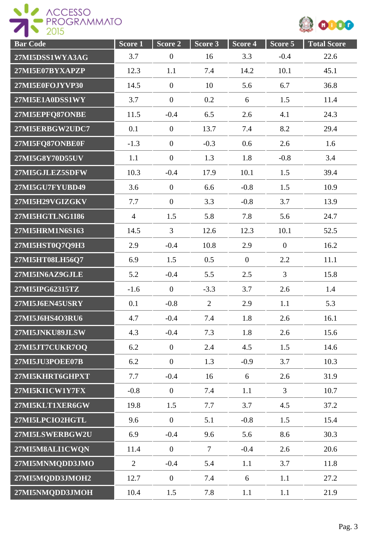



| <b>Bar Code</b> | Score 1        | Score 2          | Score 3 | Score 4        | Score 5          | <b>Total Score</b> |
|-----------------|----------------|------------------|---------|----------------|------------------|--------------------|
| 27MI5DSS1WYA3AG | 3.7            | $\boldsymbol{0}$ | 16      | 3.3            | $-0.4$           | 22.6               |
| 27MI5E07BYXAPZP | 12.3           | 1.1              | 7.4     | 14.2           | 10.1             | 45.1               |
| 27MI5E0FOJYVP30 | 14.5           | $\boldsymbol{0}$ | 10      | 5.6            | 6.7              | 36.8               |
| 27MI5E1A0DSS1WY | 3.7            | $\boldsymbol{0}$ | 0.2     | 6              | 1.5              | 11.4               |
| 27MI5EPFQ87ONBE | 11.5           | $-0.4$           | 6.5     | 2.6            | 4.1              | 24.3               |
| 27MI5ERBGW2UDC7 | 0.1            | $\mathbf{0}$     | 13.7    | 7.4            | 8.2              | 29.4               |
| 27MI5FQ87ONBE0F | $-1.3$         | $\boldsymbol{0}$ | $-0.3$  | 0.6            | 2.6              | 1.6                |
| 27MI5G8Y70D55UV | 1.1            | $\boldsymbol{0}$ | 1.3     | 1.8            | $-0.8$           | 3.4                |
| 27MI5GJLEZ5SDFW | 10.3           | $-0.4$           | 17.9    | 10.1           | 1.5              | 39.4               |
| 27MI5GU7FYUBD49 | 3.6            | $\mathbf{0}$     | 6.6     | $-0.8$         | 1.5              | 10.9               |
| 27MI5H29VGIZGKV | 7.7            | $\boldsymbol{0}$ | 3.3     | $-0.8$         | 3.7              | 13.9               |
| 27MI5HGTLNG1I86 | $\overline{4}$ | 1.5              | 5.8     | 7.8            | 5.6              | 24.7               |
| 27MI5HRM1N6S163 | 14.5           | $\overline{3}$   | 12.6    | 12.3           | 10.1             | 52.5               |
| 27MI5HST0Q7Q9H3 | 2.9            | $-0.4$           | 10.8    | 2.9            | $\boldsymbol{0}$ | 16.2               |
| 27MI5HT08LH56Q7 | 6.9            | 1.5              | 0.5     | $\overline{0}$ | 2.2              | 11.1               |
| 27MI5IN6AZ9GJLE | 5.2            | $-0.4$           | 5.5     | 2.5            | 3                | 15.8               |
| 27MI5IPG62315TZ | $-1.6$         | $\mathbf{0}$     | $-3.3$  | 3.7            | 2.6              | 1.4                |
| 27MI5J6EN45USRY | 0.1            | $-0.8$           | 2       | 2.9            | 1.1              | 5.3                |
| 27MI5J6HS4O3RU6 | 4.7            | $-0.4$           | 7.4     | 1.8            | 2.6              | 16.1               |
| 27MI5JNKU89JLSW | 4.3            | $-0.4$           | 7.3     | 1.8            | 2.6              | 15.6               |
| 27MI5JT7CUKR7OQ | 6.2            | $\mathbf{0}$     | 2.4     | 4.5            | 1.5              | 14.6               |
| 27MI5JU3POEE07B | 6.2            | $\mathbf{0}$     | 1.3     | $-0.9$         | 3.7              | 10.3               |
| 27MI5KHRT6GHPXT | 7.7            | $-0.4$           | 16      | 6              | 2.6              | 31.9               |
| 27MI5KI1CW1Y7FX | $-0.8$         | $\mathbf{0}$     | 7.4     | 1.1            | $\overline{3}$   | 10.7               |
| 27MI5KLT1XER6GW | 19.8           | 1.5              | 7.7     | 3.7            | 4.5              | 37.2               |
| 27MI5LPCIO2HGTL | 9.6            | $\mathbf{0}$     | 5.1     | $-0.8$         | 1.5              | 15.4               |
| 27MI5LSWERBGW2U | 6.9            | $-0.4$           | 9.6     | 5.6            | 8.6              | 30.3               |
| 27MI5M8ALI1CWQN | 11.4           | $\boldsymbol{0}$ | $\tau$  | $-0.4$         | 2.6              | 20.6               |
| 27MI5MNMQDD3JMO | $\overline{2}$ | $-0.4$           | 5.4     | 1.1            | 3.7              | 11.8               |
| 27MI5MQDD3JMOH2 | 12.7           | $\overline{0}$   | 7.4     | 6              | 1.1              | 27.2               |
| 27MI5NMQDD3JMOH | 10.4           | 1.5              | 7.8     | 1.1            | 1.1              | 21.9               |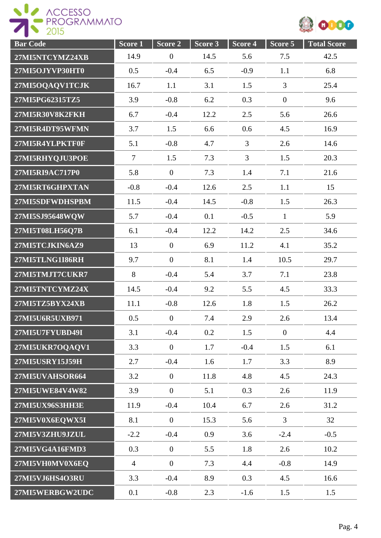



| <b>Bar Code</b> | Score 1        | Score 2          | Score 3 | Score 4        | Score 5          | <b>Total Score</b> |
|-----------------|----------------|------------------|---------|----------------|------------------|--------------------|
| 27MI5NTCYMZ24XB | 14.9           | $\boldsymbol{0}$ | 14.5    | 5.6            | 7.5              | 42.5               |
| 27MI5OJYVP30HT0 | 0.5            | $-0.4$           | 6.5     | $-0.9$         | 1.1              | 6.8                |
| 27MI5OQAQV1TCJK | 16.7           | 1.1              | 3.1     | 1.5            | $\overline{3}$   | 25.4               |
| 27MI5PG62315TZ5 | 3.9            | $-0.8$           | 6.2     | 0.3            | $\boldsymbol{0}$ | 9.6                |
| 27MI5R30V8K2FKH | 6.7            | $-0.4$           | 12.2    | 2.5            | 5.6              | 26.6               |
| 27MI5R4DT95WFMN | 3.7            | 1.5              | 6.6     | 0.6            | 4.5              | 16.9               |
| 27MI5R4YLPKTF0F | 5.1            | $-0.8$           | 4.7     | $\overline{3}$ | 2.6              | 14.6               |
| 27MI5RHYQJU3POE | $\tau$         | 1.5              | 7.3     | $\overline{3}$ | 1.5              | 20.3               |
| 27MI5RI9AC717P0 | 5.8            | $\overline{0}$   | 7.3     | 1.4            | 7.1              | 21.6               |
| 27MI5RT6GHPXTAN | $-0.8$         | $-0.4$           | 12.6    | 2.5            | 1.1              | 15                 |
| 27MI5SDFWDHSPBM | 11.5           | $-0.4$           | 14.5    | $-0.8$         | 1.5              | 26.3               |
| 27MI5SJ95648WQW | 5.7            | $-0.4$           | 0.1     | $-0.5$         | $\mathbf{1}$     | 5.9                |
| 27MI5T08LH56Q7B | 6.1            | $-0.4$           | 12.2    | 14.2           | 2.5              | 34.6               |
| 27MI5TCJKIN6AZ9 | 13             | $\boldsymbol{0}$ | 6.9     | 11.2           | 4.1              | 35.2               |
| 27MI5TLNG1I86RH | 9.7            | $\overline{0}$   | 8.1     | 1.4            | 10.5             | 29.7               |
| 27MI5TMJT7CUKR7 | 8              | $-0.4$           | 5.4     | 3.7            | 7.1              | 23.8               |
| 27MI5TNTCYMZ24X | 14.5           | $-0.4$           | 9.2     | 5.5            | 4.5              | 33.3               |
| 27MI5TZ5BYX24XB | 11.1           | $-0.8$           | 12.6    | 1.8            | 1.5              | 26.2               |
| 27MI5U6R5UXB971 | 0.5            | $\boldsymbol{0}$ | 7.4     | 2.9            | 2.6              | 13.4               |
| 27MI5U7FYUBD49I | 3.1            | $-0.4$           | 0.2     | 1.5            | $\overline{0}$   | 4.4                |
| 27MI5UKR7OQAQV1 | 3.3            | $\overline{0}$   | 1.7     | $-0.4$         | 1.5              | 6.1                |
| 27MI5USRY15J59H | 2.7            | $-0.4$           | 1.6     | 1.7            | 3.3              | 8.9                |
| 27MI5UVAHSOR664 | 3.2            | $\overline{0}$   | 11.8    | 4.8            | 4.5              | 24.3               |
| 27MI5UWE84V4W82 | 3.9            | $\boldsymbol{0}$ | 5.1     | 0.3            | 2.6              | 11.9               |
| 27MI5UX96S3HH3E | 11.9           | $-0.4$           | 10.4    | 6.7            | 2.6              | 31.2               |
| 27MI5V0X6EQWX5I | 8.1            | $\overline{0}$   | 15.3    | 5.6            | $\overline{3}$   | 32                 |
| 27MI5V3ZHU9JZUL | $-2.2$         | $-0.4$           | 0.9     | 3.6            | $-2.4$           | $-0.5$             |
| 27MI5VG4A16FMD3 | 0.3            | $\boldsymbol{0}$ | 5.5     | 1.8            | 2.6              | 10.2               |
| 27MI5VH0MV0X6EQ | $\overline{4}$ | $\boldsymbol{0}$ | 7.3     | 4.4            | $-0.8$           | 14.9               |
| 27MI5VJ6HS4O3RU | 3.3            | $-0.4$           | 8.9     | 0.3            | 4.5              | 16.6               |
| 27MI5WERBGW2UDC | 0.1            | $-0.8$           | 2.3     | $-1.6$         | 1.5              | 1.5                |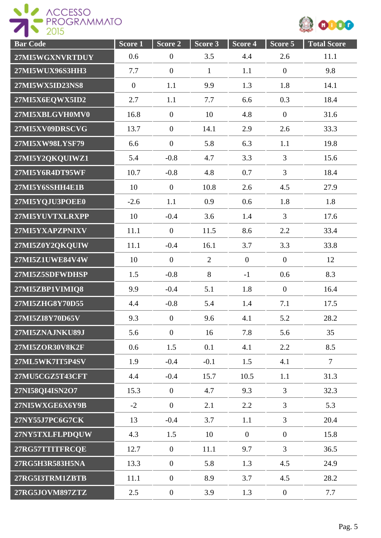

| <b>Bar Code</b> | Score 1          | Score <sub>2</sub> | Score 3        | Score 4        | Score 5          | <b>Total Score</b> |
|-----------------|------------------|--------------------|----------------|----------------|------------------|--------------------|
| 27MI5WGXNVRTDUY | 0.6              | $\boldsymbol{0}$   | 3.5            | 4.4            | 2.6              | 11.1               |
| 27MI5WUX96S3HH3 | 7.7              | $\boldsymbol{0}$   | $\mathbf{1}$   | 1.1            | $\boldsymbol{0}$ | 9.8                |
| 27MI5WX5ID23NS8 | $\boldsymbol{0}$ | 1.1                | 9.9            | 1.3            | 1.8              | 14.1               |
| 27MI5X6EQWX5ID2 | 2.7              | 1.1                | 7.7            | 6.6            | 0.3              | 18.4               |
| 27MI5XBLGVH0MV0 | 16.8             | $\boldsymbol{0}$   | 10             | 4.8            | $\mathbf{0}$     | 31.6               |
| 27MI5XV09DRSCVG | 13.7             | $\overline{0}$     | 14.1           | 2.9            | 2.6              | 33.3               |
| 27MI5XW98LYSF79 | 6.6              | $\boldsymbol{0}$   | 5.8            | 6.3            | 1.1              | 19.8               |
| 27MI5Y2QKQUIWZ1 | 5.4              | $-0.8$             | 4.7            | 3.3            | $\overline{3}$   | 15.6               |
| 27MI5Y6R4DT95WF | 10.7             | $-0.8$             | 4.8            | 0.7            | $\overline{3}$   | 18.4               |
| 27MI5Y6SSHH4E1B | 10               | $\overline{0}$     | 10.8           | 2.6            | 4.5              | 27.9               |
| 27MI5YQJU3POEE0 | $-2.6$           | 1.1                | 0.9            | 0.6            | 1.8              | 1.8                |
| 27MI5YUVTXLRXPP | 10               | $-0.4$             | 3.6            | 1.4            | $\overline{3}$   | 17.6               |
| 27MI5YXAPZPNIXV | 11.1             | $\boldsymbol{0}$   | 11.5           | 8.6            | 2.2              | 33.4               |
| 27MI5Z0Y2QKQUIW | 11.1             | $-0.4$             | 16.1           | 3.7            | 3.3              | 33.8               |
| 27MI5Z1UWE84V4W | 10               | $\boldsymbol{0}$   | $\overline{2}$ | $\overline{0}$ | $\overline{0}$   | 12                 |
| 27MI5Z5SDFWDHSP | 1.5              | $-0.8$             | 8              | $-1$           | 0.6              | 8.3                |
| 27MI5ZBP1VIMIQ8 | 9.9              | $-0.4$             | 5.1            | 1.8            | $\overline{0}$   | 16.4               |
| 27MI5ZHG8Y70D55 | 4.4              | $-0.8$             | 5.4            | 1.4            | 7.1              | 17.5               |
| 27MI5ZI8Y70D65V | 9.3              | $\boldsymbol{0}$   | 9.6            | 4.1            | 5.2              | 28.2               |
| 27MI5ZNAJNKU89J | 5.6              | $\overline{0}$     | 16             | 7.8            | 5.6              | 35                 |
| 27MI5ZOR30V8K2F | 0.6              | 1.5                | 0.1            | 4.1            | 2.2              | 8.5                |
| 27ML5WK7IT5P4SV | 1.9              | $-0.4$             | $-0.1$         | 1.5            | 4.1              | $\overline{7}$     |
| 27MU5CGZ5T43CFT | 4.4              | $-0.4$             | 15.7           | 10.5           | 1.1              | 31.3               |
| 27NI58QI4ISN2O7 | 15.3             | $\overline{0}$     | 4.7            | 9.3            | $\overline{3}$   | 32.3               |
| 27NI5WXGE6X6Y9B | $-2$             | $\overline{0}$     | 2.1            | 2.2            | $\overline{3}$   | 5.3                |
| 27NY55J7PC6G7CK | 13               | $-0.4$             | 3.7            | 1.1            | $\overline{3}$   | 20.4               |
| 27NY5TXLFLPDQUW | 4.3              | 1.5                | 10             | $\overline{0}$ | $\boldsymbol{0}$ | 15.8               |
| 27RG57TTITFRCQE | 12.7             | $\overline{0}$     | 11.1           | 9.7            | $\overline{3}$   | 36.5               |
| 27RG5H3R583H5NA | 13.3             | $\boldsymbol{0}$   | 5.8            | 1.3            | 4.5              | 24.9               |
| 27RG5I3TRM1ZBTB | 11.1             | $\boldsymbol{0}$   | 8.9            | 3.7            | 4.5              | 28.2               |
| 27RG5JOVM897ZTZ | 2.5              | $\mathbf{0}$       | 3.9            | 1.3            | $\mathbf{0}$     | 7.7                |